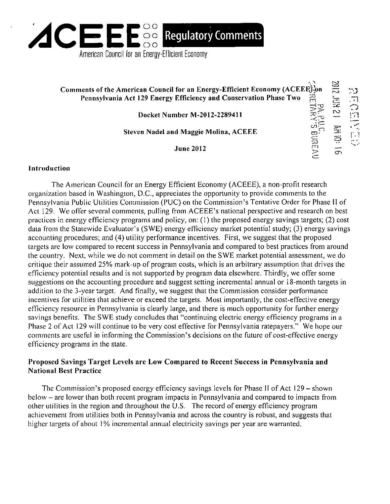

# **Comments of the American Council for an Energy-Efficient Economy (ACEEE}).]on Pennsylvania Act 129 Energy Efficiency and Conservation Phase Two ^2 ^**

**Docket Number M-2012-2289411** 

**12 km 2102** 

**CT)** 

怎

**f J 3: c5** 

*\ J* 

Steven Nadel and Maggie Molina, ACEEE

June  $2012$ 

#### **Introduction**

The American Council for an Energy Efficient Economy (ACEEE), a non-profit research organization based in Washington, D.C., appreciates the opportunity to provide comments to the Pennsylvania Public Utilities Commission (PUC) on the Commission's Tentative Order for Phase II of Act 129. We offer several comments, pulling from ACEEE's national perspective and research on best practices in energy efficiency programs and policy, on: (1) the proposed energy savings targets; (2) cost data from the Statewide Evaluator's (SWE) energy efficiency market potential study; (3) energy savings accounting procedures; and (4) utility performance incentives. First, we suggest that the proposed targets are low compared to recent success in Pennsylvania and compared to best practices from around the country. Next, while we do not comment in detail on the SWE market potential assessment, we do critique their assumed 25% mark-up of program costs, which is an arbitrary assumption that drives the efficiency potential results and is not supported by program data elsewhere. Thirdly, we offer some suggestions on the accounting procedure and suggest setting incremental annual or 18-month targets in addition to the 3-year target. And finally, we suggest that the Commission consider performance incentives for utilities that achieve or exceed the targets. Most importantly, the cost-effective energy efficiency resource in Pennsylvania is clearly large, and there is much opportunity for further energy savings benefits. The SWE study concludes that "continuing electric energy efficiency programs in a Phase 2 of Act 129 will continue to be very cost effective for Pennsylvania ratepayers." We hope our comments are useful in informing the Commission's decisions on the future of cost-effective energy efficiency programs in the state.

### **Proposed Savings Target Levels are Low Compared to Recent Success in Pennsylvania and National Best Practice**

The Commission's proposed energy efficiency savings levels for Phase II of Act 129 - shown below - are lower than both recent program impacts in Pennsylvania and compared to impacts from other utilities in the region and throughout the U.S. The record of energy efficiency program achievement from utilities both in Pennsylvania and across the country is robust, and suggests that higher targets of about 1% incremental annual electricity savings per year are warranted.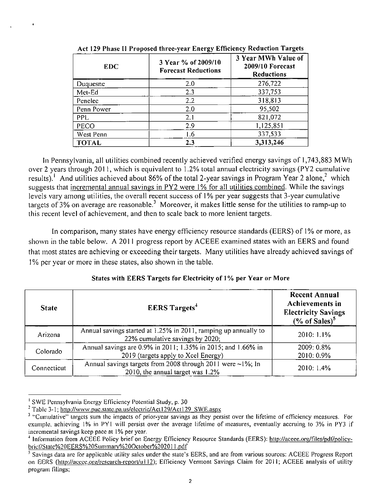| <b>EDC</b>   | 3 Year % of 2009/10<br><b>Forecast Reductions</b> | 3 Year MWh Value of<br>2009/10 Forecast<br><b>Reductions</b> |
|--------------|---------------------------------------------------|--------------------------------------------------------------|
| Duquesne     | 2.0                                               | 276,722                                                      |
| Met-Ed       | 2.3                                               | 337,753                                                      |
| Penelec      | 2.2                                               | 318,813                                                      |
| Penn Power   | 2.0                                               | 95,502                                                       |
| <b>PPL</b>   | 2.1                                               | 821,072                                                      |
| PECO         | 2.9                                               | 1,125,851                                                    |
| West Penn    | 1.6                                               | 337,533                                                      |
| <b>TOTAL</b> | 2.3                                               | 3,313,246                                                    |

**Act 129 Phase II Proposed three-year Energy Efficiency Reduction Targets** 

In Pennsylvania, all utilities combined recently achieved verified energy savings of 1,743,883 MWh over 2 years through 2011, which is equivalent to 1.2% total annual electricity savings (PY2 cumulative results). And utilities achieved about 86% of the total 2-year savings in Program Year 2 alone,  $\sim$  which suggests that incremental annual savings in PY2 were 1% for all utilities combined. While the savings levels vary among utilities, the overall recent success of 1% per year suggests that 3-year cumulative targets of 3% on average are reasonable.<sup>3</sup> Moreover, it makes little sense for the utilities to ramp-up to this recent level of achievement, and then to scale back to more lenient targets.

In comparison, many states have energy efficiency resource standards (EERS) of 1% or more, as shown in the table below. A 2011 progress report by ACEEE examined states with an EERS and found that most states are achieving or exceeding their targets. Many utilities have already achieved savings of 1% per year or more in these states, also shown in the table.

| <b>State</b> | <b>EERS</b> Targets <sup>+</sup>                                                                     | <b>Recent Annual</b><br>Achievements in<br><b>Electricity Savings</b><br>$(\%$ of Sales) <sup>5</sup> |
|--------------|------------------------------------------------------------------------------------------------------|-------------------------------------------------------------------------------------------------------|
| Arizona      | Annual savings started at 1.25% in 2011, ramping up annually to<br>22% cumulative savings by 2020;   | 2010: 1.1%                                                                                            |
| Colorado     | Annual savings are 0.9% in 2011; 1.35% in 2015; and 1.66% in<br>2019 (targets apply to Xcel Energy)  | 2009: 0.8%<br>2010: 0.9%                                                                              |
| Connecticut  | Annual savings targets from 2008 through 2011 were $\sim$ 1%; In<br>2010, the annual target was 1.2% | 2010:1.4%                                                                                             |

**States with EERS Targets for Electricity of 1 % per Year or More** 

<sup>1</sup> SWE Pennsylvania Energy Efficiency Potential Study, p. 30

<sup>&</sup>lt;sup>2</sup> Table 3-1; http://www.puc.state.pa.us/electric/Act129/Act129\_SWE.aspx

<sup>&</sup>lt;sup>3</sup> "Cumulative" targets sum the impacts of prior-year savings as they persist over the lifetime of efficiency measures. For example, achieving 1% in PY1 will persist over the average lifetime of measures, eventually accruing to 3% in PY3 if incremental savings keep pace at 1% per year.

<sup>&</sup>lt;sup>4</sup> Information from ACEEE Policy brief on Energy Efficiency Resource Standards (EERS): http://aceee.org/files/pdf/policybrief/Slate%20EERS%20Suminary%20Oclober%20201 l.pdf

<sup>&</sup>lt;sup>5</sup> Savings data are for applicable utility sales under the state's EERS, and are from various sources: ACEEE Progress Report on EERS (http://aceee.org/research-report/u112); Efficiency Vermont Savings Claim for 2011; ACEEE analysis of utility program filings;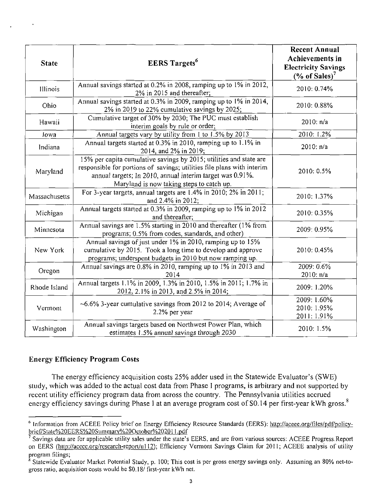| <b>State</b>  | <b>EERS</b> Targets <sup>6</sup>                                                                                                                                                                                                                       | <b>Recent Annual</b><br>Achievements in<br><b>Electricity Savings</b><br>(% of Sales) <sup>7</sup> |
|---------------|--------------------------------------------------------------------------------------------------------------------------------------------------------------------------------------------------------------------------------------------------------|----------------------------------------------------------------------------------------------------|
| Illinois      | Annual savings started at 0.2% in 2008, ramping up to 1% in 2012,<br>2% in 2015 and thereafter;                                                                                                                                                        | 2010: 0.74%                                                                                        |
| Ohio          | Annual savings started at 0.3% in 2009, ramping up to 1% in 2014,<br>2% in 2019 to 22% cumulative savings by 2025;                                                                                                                                     | 2010: 0.88%                                                                                        |
| Hawaii        | Cumulative target of 30% by 2030; The PUC must establish<br>interim goals by rule or order;                                                                                                                                                            | 2010: n/a                                                                                          |
| lowa          | Annual targets vary by utility from 1 to 1.5% by 2013                                                                                                                                                                                                  | 2010: 1.2%                                                                                         |
| Indiana       | Annual targets started at 0.3% in 2010, ramping up to 1.1% in<br>2014, and 2% in 2019;                                                                                                                                                                 | 2010: n/a                                                                                          |
| Maryland      | 15% per capita cumulative savings by 2015; utilities and state are<br>responsible for portions of savings; utilities file plans with interim<br>annual targets; In 2010, annual interim target was 0.91%.<br>Maryland is now taking steps to catch up. | 2010: 0.5%                                                                                         |
| Massachusetts | For 3-year targets, annual targets are 1.4% in 2010; 2% in 2011;<br>and 2.4% in 2012:                                                                                                                                                                  | 2010: 1.37%                                                                                        |
| Michigan      | Annual targets started at 0.3% in 2009, ramping up to 1% in 2012<br>and thereafter;                                                                                                                                                                    | 2010: 0.35%                                                                                        |
| Minnesota     | Annual savings are 1.5% starting in 2010 and thereafter (1% from<br>programs; 0.5% from codes, standards, and other)                                                                                                                                   | 2009: 0.95%                                                                                        |
| New York      | Annual savings of just under 1% in 2010, ramping up to 15%<br>cumulative by 2015. Took a long time to develop and approve<br>programs; underspent budgets in 2010 but now ramping up.                                                                  | 2010: 0.45%                                                                                        |
| Oregon        | Annual savings are 0.8% in 2010, ramping up to 1% in 2013 and<br>2014                                                                                                                                                                                  | 2009: 0.6%<br>2010: n/a                                                                            |
| Rhode Island  | Annual targets 1.1% in 2009, 1.3% in 2010, 1.5% in 2011; 1.7% in<br>2012, 2.1% in 2013, and 2.5% in 2014;                                                                                                                                              | 2009: 1.20%                                                                                        |
| Vermont       | $\sim$ 6.6% 3-year cumulative savings from 2012 to 2014; Average of<br>2.2% per year                                                                                                                                                                   | 2009: 1.60%<br>2010: 1.95%<br>2011: 1.91%                                                          |
| Washington    | Annual savings targets based on Northwest Power Plan, which<br>estimates 1.5% annual savings through 2030                                                                                                                                              | 2010: 1.5%                                                                                         |

## **Energy Efficiency Program Costs**

 $\bullet$ 

The energy efficiency acquisition costs 25% adder used in the Statewide Evaluator's (SWE) study, which was added to the actual cost data from Phase I programs, is arbitrary and not supported by recent utility efficiency program data from across the country. The Pennsylvania utilities accrued energy efficiency savings during Phase I at an average program cost of \$0.14 per first-year kWh gross.<sup>8</sup>

<sup>&</sup>lt;sup>6</sup> Information from ACEEE Policy brief on Energy Efficiency Resource Standards (EERS); http://aceee.org/files/pdf/policybrief/State%20EERS%20Summary%20October%202011.pdf

 $<sup>7</sup>$  Savings data are for applicable utility sales under the state's EERS, and are from various sources: ACEEE Progress.Report</sup> on EERS (http://aceee.org/research-report/ul 12); Efficiency Vermont Savings Claim for 2011; ACEEE analysis of utility program filings;

<sup>8</sup> Statewide Evaluator Market Potential Study, p. 100; This cost is per gross energy savings only. Assuming an 80% net-togross ratio, acquisition costs would be SO. 18/ first-year kWh net.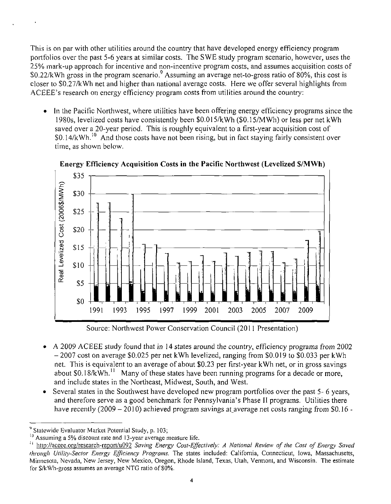This is on par with other utilities around the country that have developed energy efficiency program portfolios over the past 5-6 years at similar costs. The SWE study program scenario, however, uses the 25% mark-up approach for incentive and non-incentive program costs, and assumes acquisition costs of \$0.22/kWh gross in the program scenario.<sup>9</sup> Assuming an average net-to-gross ratio of 80%, this cost is closer to \$0.27/kWh net and higher than national average costs. Here we offer several highlights from ACEEE's research on energy efficiency program costs from utilities around the country:

• In the Pacific Northwest, where utilities have been offering energy efficiency programs since the 1980s, levelized costs have consistently been \$0.015/kWh (\$0.15/MWh) or less per net kWh saved over a 20-year period. This is roughly equivalent to a first-year acquisition cost of \$0.14/kWh.<sup>10</sup> And those costs have not been rising, but in fact staying fairly consistent over time, as shown below.



**Energy Efficiency Acquisition Costs in the Pacific Northwest (Levelized \$/MWh)** 

Source: Northwest Power Conservation Council (2011 Presentation)

- A 2009 ACEEE study found that in 14 states around the country, efficiency programs from 2002  $\bullet$ - 2007 cost on average \$0,025 per net kWh levelized, ranging from \$0,019 to \$0,033 per kWh net. This is equivalent to an average of about \$0.23 per first-year kWh net, or in gross savings about \$0.18/kWh.<sup>11</sup> Many of these states have been running programs for a decade or more, and include states in the Northeast, Midwest, South, and West.
- Several states in the Southwest have developed new program portfolios over the past 5- 6 years, and therefore serve as a good benchmark for Pennsylvania's Phase II programs. Utilities there have recently (2009 - 2010) achieved program savings at average net costs ranging from  $$0.16$  -

<sup>1</sup> Statewide Evaluator Market Polential Study, p. 103;

Assuming a 5% discount rate and 13-year average measure life.

 $^{14}$  http://aceee.org/research-report/u092 Saving Energy Cost-Effectively: A National Review of the Cost of Energy Saved through Utility-Sector Energy Efficiency Programs. The states included: California, Connecticut, Iowa, Massachusetts, Minnesota, Nevada, New Jersey, New Mexico, Oregon, Rhode Island, Texas, Utah, Vermont, and Wisconsin. The estimate for S/kWh-gross assumes an average NTG ratio of 80%.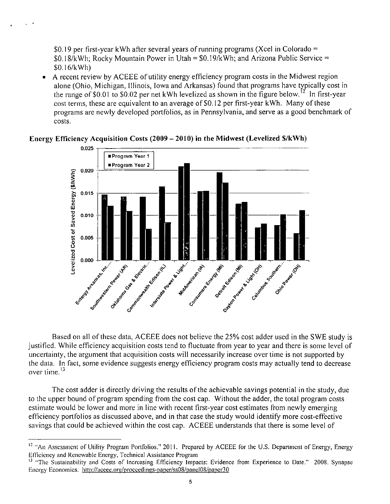SO. 19 per first-year kWh after several years of running programs (Xcel in Colorado =  $$0.18/kWh$ ; Rocky Mountain Power in Utah =  $$0.19/kWh$ ; and Arizona Public Service = \$0.16/kWh)

A recent review by ACEEE of utility energy efficiency program costs in the Midwest region  $\bullet$ alone (Ohio, Michigan, Illinois, Iowa and Arkansas) found that programs have typically cost in the range of \$0.01 to \$0.02 per net kWh levelized as shown in the figure below.<sup>12</sup> In first-year cost terms, these are equivalent to an average of \$0.12 per first-year kWh. Many of these programs are newly developed portfolios, as in Pennsylvania, and serve as a good benchmark of costs.



**Energy Efficiency Acquisition Costs (2009 - 2010) in the Midwest (Levelized \$/kWh)** 

Based on all of these data, ACEEE does not believe the 25% cost adder used in the SWE study is justified. While efficiency acquisition costs tend to fluctuate from year to year and there is some level of uncertainty, the argument that acquisition costs will necessarily increase over time is not supported by the data. In fact, some evidence suggests energy efficiency program costs may actually tend to decrease over time.<sup>13</sup>

The cost adder is directly driving the results of the achievable savings potential in the study, due to the upper bound of program spending from the cost cap. Without the adder, the total program costs estimate would be lower and more in line with recent first-year cost estimates from newly emerging efficiency portfolios as discussed above, and in that case the study would identify more cost-effective savings that could be achieved within the cost cap. ACEEE understands that there is some level of

<sup>12</sup> "An Assessment of Utility Program Portfolios." 2011. Prepared by ACEEE for the U.S. Department of Energy, Energy Efficiency and Renewable Energy, Technical Assistance Program

<sup>&</sup>lt;sup>13</sup> "The Sustainability and Costs of Increasing Efficiency Impacts: Evidence from Experience to Date." 2008. Synapse Energy Economics, http://aceee.org/proceedings-paper/ss08/panel08/paper30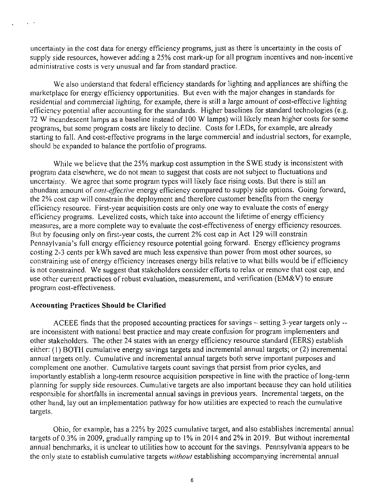uncertainty in the cost data for energy efficiency programs, just as there is uncertainty in the costs of supply side resources, however adding a 25% cost mark-up for all program incentives and non-incentive administrative costs is very unusual and far from standard practice.

We also understand that federal efficiency standards for lighting and appliances are shifting the marketplace for energy efficiency opportunities. But even with the major changes in standards for residential and commercial lighting, for example, there is still a large amount of cost-effective lighting efficiency potential after accounting for the standards. Higher baselines for standard technologies (e.g. 72 W incandescent lamps as a baseline instead of 100 W lamps) will likely mean higher costs for some programs, but some program costs are likely to decline. Costs for LEDs, for example, are already starting to fall. And cost-effective programs in the large commercial and industrial sectors, for example, should be expanded to balance the portfolio of programs.

While we believe that the 25% markup cost assumption in the SWE study is inconsistent with program data elsewhere, we do not mean to suggest that costs are not subject to fluctuations and uncertainty. We agree that some program types will likely face rising costs. But there is still an abundant amount of *cost-effective* energy efficiency compared to supply side options. Going forward, the 2% cost cap will constrain the deployment and therefore customer benefits from the energy efficiency resource. First-year acquisition costs are only one way to evaluate the costs of energy efficiency programs. Levelized costs, which take into account the lifetime of energy efficiency measures, are a more complete way to evaluate the cost-effectiveness of energy efficiency resources. But by focusing only on first-year costs, the current 2% cost cap in Act 129 will constrain Pennsylvania's full energy efficiency resource potential going forward. Energy efficiency programs costing 2-3 cents per kWh saved are much less expensive than power from most other sources, so constraining use of energy efficiency increases energy bills relative to what bills would be if efficiency is not constrained. We suggest that stakeholders consider efforts to relax or remove that cost cap, and use other current practices of robust evaluation, measurement, and verification (EM&V) to ensure program cost-effectiveness.

#### **Accounting Practices Should be Clarified**

 $\sim$   $\sim$ 

ACEEE finds that the proposed accounting practices for savings - setting 3-year targets only - are inconsistent with national best practice and may create confusion for program implementers and other stakeholders. The other 24 states with an energy efficiency resource standard (EERS) establish either: (1) BOTH cumulative energy savings targets and incremental annual targets; or (2) incremental annual targets only. Cumulative and incremental annual targets both serve important purposes and complement one another. Cumulative targets count savings that persist from prior cycles, and importantly establish a long-term resource acquisition perspective in line with the practice of long-term planning for supply side resources. Cumulative targets are also important because they can hold utilities responsible for shortfalls in incremental annual savings in previous years. Incremental targets, on the other hand, lay out an implementation pathway for how utilities are expected to reach the cumulative targets,

Ohio, for example, has a 22% by 2025 cumulative target, and also establishes incremental annual targets of 0.3% in 2009, gradually ramping up to 1% in 2014 and 2% in 2019. But without incremental annual benchmarks, it is unclear to utilities how to account for the savings. Pennsylvania appears to be the only state to establish cumulative targets *without* establishing accompanying incremental annual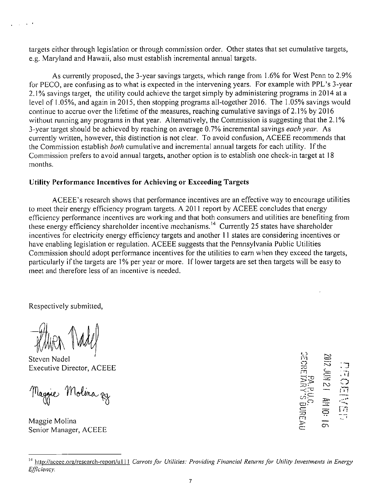targets either through legislation or through commission order. Other states that set cumulative targets, e.g. Maryland and Hawaii, also must establish incremental annual targets.

As currently proposed, the 3-year savings targets, which range from 1.6% for West Penn to 2.9% for PECO, are confusing as to what is expected in the intervening years. For example with PPL's 3-year 2.1% savings target, the utility could achieve the target simply by administering programs in 2014 at a level of 1.05%), and again in 2015, then stopping programs all-together 2016. The 1.05% savings would continue to accrue over the lifetime of the measures, reaching cumulative savings of 2.1% by 2016 without running any programs in that year. Alternatively, the Commission is suggesting that the 2.1% 3-year target should be achieved by reaching on average 0.7% incremental savings each year. As currently written, however, this distinction is not clear. To avoid confusion, ACEEE recommends that the Commission establish both cumulative and incremental annual targets for each utility. If the Commission prefers to avoid annual targets, another option is to establish one check-in target at 18 months.

### **Utility Performance Incentives for Achieving or Exceeding Targets**

ACEEE's research shows that performance incentives are an effective way to encourage utilities to meet their energy efficiency program targets. A 2011 report by ACEEE concludes that energy efficiency performance incentives are working and that both consumers and utilities are benefiting from these energy efficiency shareholder incentive mechanisms.<sup>14</sup> Currently 25 states have shareholder incentives for electricity energy efficiency targets and another 11 states are considering incentives or have enabling legislation or regulation. ACEEE suggests that the Pennsylvania Public Utilities Commission should adopt performance incentives for the utilities to earn when they exceed the targets, particularly if the targets are 1% per year or more. If lower targets are set then targets will be easy to meet and therefore less of an incentive is needed.

Respectively submitted,

 $\Delta \sim 0$  $\sim$   $\sim$ 

Steven Nadel Executive Director, ACEEE

Maggie Molina zy

Maggie Molina Senior Manager, ACEEE the contract of the contract of the contract of the contract of the contract of the contract of the contract o

 $\frac{1}{2}$ 当型 -

*<sup>14</sup> htip://aceee.ora/research-report/ul 11 Carrots for Utilities: Providing Financial Returns for Utility Investments in Energy Efficiency.*